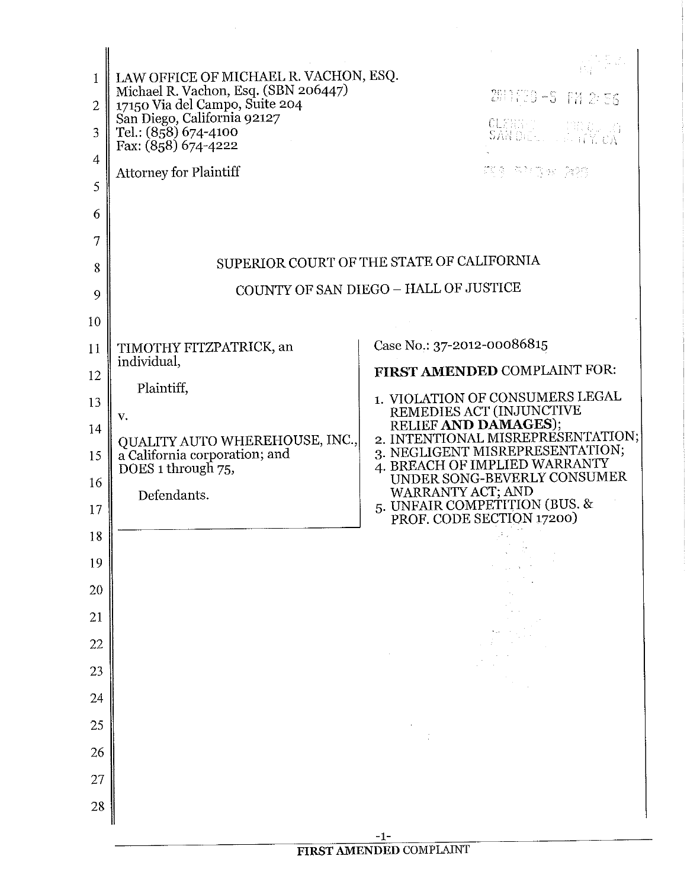| Ŧ<br>$\overline{2}$<br>3<br>4<br>5<br>6<br>7<br>8 | LAW OFFICE OF MICHAEL R. VACHON, ESQ.<br>Michael R. Vachon, Esq. (SBN 206447)<br>17150 Via del Campo, Suite 204<br>San Diego, California 92127<br>Tel.: (858) 674-4100<br>Fax: (858) 674-4222<br><b>Attorney for Plaintiff</b> | 2611年20~5 FM 2:56<br>CLERKO (GROUGH<br>주민의 기주 위에 걸 놀린 술을 알렸다.<br>SUPERIOR COURT OF THE STATE OF CALIFORNIA     |  |
|---------------------------------------------------|--------------------------------------------------------------------------------------------------------------------------------------------------------------------------------------------------------------------------------|----------------------------------------------------------------------------------------------------------------|--|
| 9                                                 | COUNTY OF SAN DIEGO - HALL OF JUSTICE                                                                                                                                                                                          |                                                                                                                |  |
| 10                                                |                                                                                                                                                                                                                                |                                                                                                                |  |
| 11                                                | TIMOTHY FITZPATRICK, an                                                                                                                                                                                                        | Case No.: 37-2012-00086815                                                                                     |  |
| 12                                                | individual,                                                                                                                                                                                                                    | FIRST AMENDED COMPLAINT FOR:                                                                                   |  |
| 13                                                | Plaintiff,                                                                                                                                                                                                                     | 1. VIOLATION OF CONSUMERS LEGAL<br>REMEDIES ACT (INJUNCTIVE                                                    |  |
| 14                                                | V.<br>QUALITY AUTO WHEREHOUSE, INC.,                                                                                                                                                                                           | RELIEF AND DAMAGES);<br>2. INTENTIONAL MISREPRESENTATION;                                                      |  |
| 15                                                | a California corporation; and<br>DOES 1 through 75,                                                                                                                                                                            | 3. NEGLIGENT MISREPRESENTATION;<br>4. BREACH OF IMPLIED WARRANTY                                               |  |
| 16<br>17                                          | Defendants.                                                                                                                                                                                                                    | UNDER SONG-BEVERLY CONSUMER<br>WARRANTY ACT; AND<br>5. UNFAIR COMPETITION (BUS. &<br>PROF. CODE SECTION 17200) |  |
| 18                                                |                                                                                                                                                                                                                                |                                                                                                                |  |
| 19                                                |                                                                                                                                                                                                                                |                                                                                                                |  |
| 20                                                |                                                                                                                                                                                                                                |                                                                                                                |  |
| 21                                                |                                                                                                                                                                                                                                |                                                                                                                |  |
| 22                                                |                                                                                                                                                                                                                                |                                                                                                                |  |
| 23<br>$\overline{24}$                             |                                                                                                                                                                                                                                |                                                                                                                |  |
| 25                                                |                                                                                                                                                                                                                                |                                                                                                                |  |
| 26                                                |                                                                                                                                                                                                                                |                                                                                                                |  |
| 27                                                |                                                                                                                                                                                                                                |                                                                                                                |  |
| 28                                                |                                                                                                                                                                                                                                |                                                                                                                |  |
|                                                   |                                                                                                                                                                                                                                | -1-                                                                                                            |  |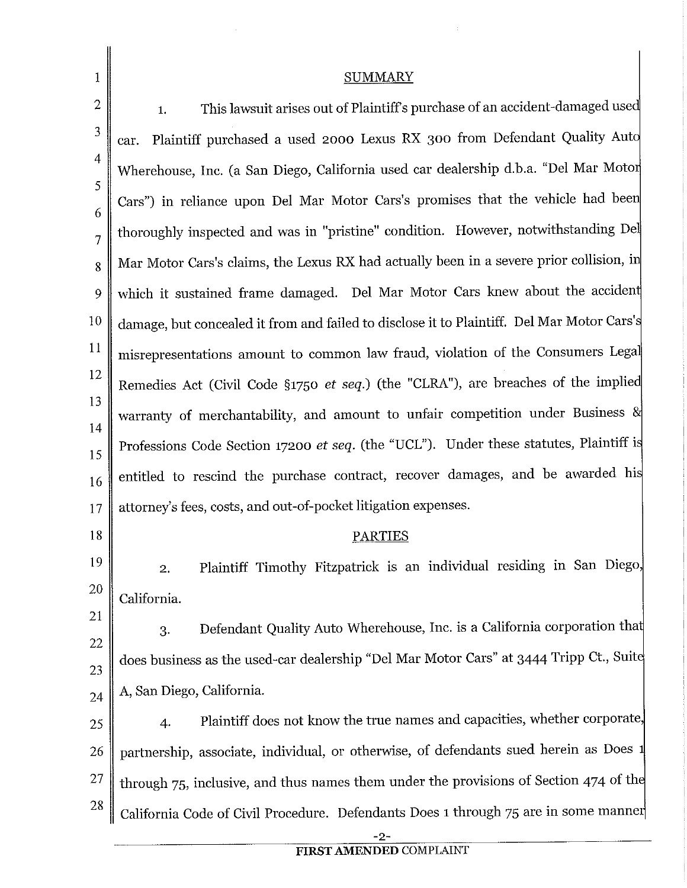| 1                   | <b>SUMMARY</b>                                                                             |  |
|---------------------|--------------------------------------------------------------------------------------------|--|
| $\mathbf{2}$        | This lawsuit arises out of Plaintiff's purchase of an accident-damaged used<br>1.          |  |
| 3                   | Plaintiff purchased a used 2000 Lexus RX 300 from Defendant Quality Auto<br>car.           |  |
| 4                   | Wherehouse, Inc. (a San Diego, California used car dealership d.b.a. "Del Mar Motor        |  |
| 5                   | Cars") in reliance upon Del Mar Motor Cars's promises that the vehicle had been            |  |
| 6<br>$\overline{7}$ | thoroughly inspected and was in "pristine" condition. However, notwithstanding Del         |  |
| 8                   | Mar Motor Cars's claims, the Lexus RX had actually been in a severe prior collision, in    |  |
| 9                   | which it sustained frame damaged. Del Mar Motor Cars knew about the accident               |  |
| $10\,$              | damage, but concealed it from and failed to disclose it to Plaintiff. Del Mar Motor Cars's |  |
| 11                  | misrepresentations amount to common law fraud, violation of the Consumers Legal            |  |
| 12                  | Remedies Act (Civil Code §1750 et seq.) (the "CLRA"), are breaches of the implied          |  |
| 13                  | warranty of merchantability, and amount to unfair competition under Business &             |  |
| 14                  | Professions Code Section 17200 et seq. (the "UCL"). Under these statutes, Plaintiff is     |  |
| 15                  | entitled to rescind the purchase contract, recover damages, and be awarded his             |  |
| 16                  | attorney's fees, costs, and out-of-pocket litigation expenses.                             |  |
| 17<br>18            | <b>PARTIES</b>                                                                             |  |
| 19                  |                                                                                            |  |
| 20                  | Plaintiff Timothy Fitzpatrick is an individual residing in San Diego,<br>2.                |  |
| 21                  | California.                                                                                |  |
| 22                  | Defendant Quality Auto Wherehouse, Inc. is a California corporation that<br>3.             |  |
| 23                  | does business as the used-car dealership "Del Mar Motor Cars" at 3444 Tripp Ct., Suite     |  |
| 24                  | A, San Diego, California.                                                                  |  |
| 25                  | Plaintiff does not know the true names and capacities, whether corporate,<br>4.            |  |
| 26                  | partnership, associate, individual, or otherwise, of defendants sued herein as Does 1      |  |
| 27                  | through 75, inclusive, and thus names them under the provisions of Section 474 of the      |  |
| 28                  | California Code of Civil Procedure. Defendants Does 1 through 75 are in some manner        |  |
|                     | $-2-$                                                                                      |  |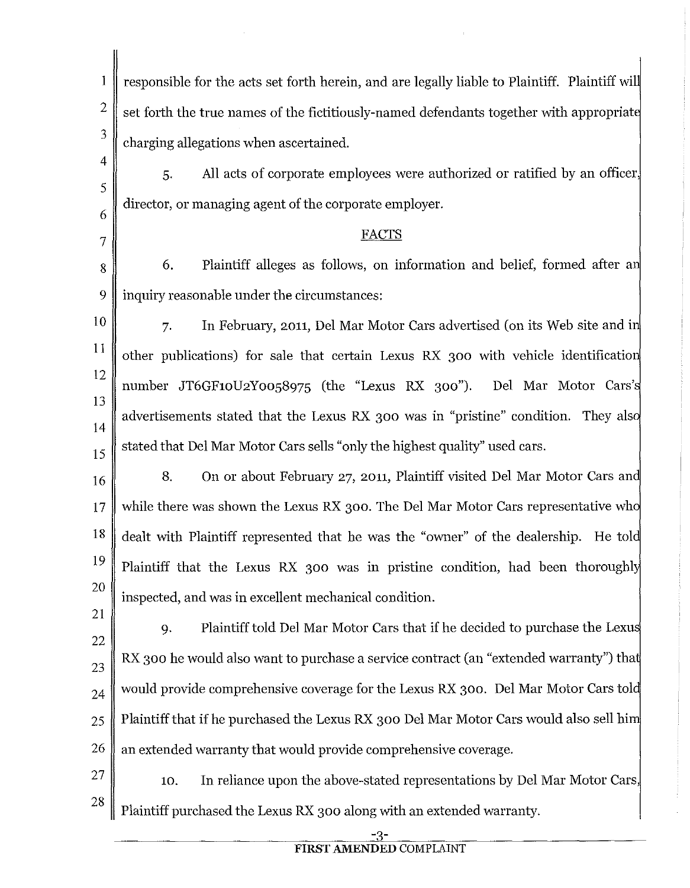1 2 3 responsible for the acts set forth herein, and are legally liable to Plaintiff. Plaintiff wil set forth the true names of the fictitiously-named defendants together with appropriat charging allegations when ascertained.

4 5 6 5. All acts of corporate employees were authorized or ratified by an officer, director, or managing agent of the corporate employer.

## FACTS

8 6. Plaintiff alleges as follows, on information and belief, formed after a 9 inquiry reasonable under the circumstances:

7

21

- 10 11 12 13 14 15 7. In February, 2011, Del Mar Motor Cars advertised (on its Web site and i other publications) for sale that certain Lexus RX 300 with vehicle identificatio number JT6GF10U2Yoo58975 (the "Lexus RX 300"). Del Mar Motor Cars' advertisements stated that the Lexus RX 300 was in "pristine" condition. They als stated that Del Mar Motor Cars sells "only the highest quality" used cars.
- 16 17 18 19 20 8. On or about February 27, 2011, Plaintiff visited Del Mar Motor Cars and while there was shown the Lexus RX 300. The Del Mar Motor Cars representative who dealt with Plaintiff represented that he was the "owner" of the dealership. He told Plaintiff that the Lexus RX 300 was in pristine condition, had been thoroughly inspected, and was in excellent mechanical condition.
- 22 23 24 25 26 9. Plaintiff told Del Mar Motor Cars that if he decided to purchase the Lexu RX 300 he would also want to purchase a service contract (an "extended warranty") that would provide comprehensive coverage for the Lexus RX 300. Del Mar Motor Cars told Plaintiff that if he purchased the Lexus RX 300 Del Mar Motor Cars would also sell hi an extended warranty that would provide comprehensive coverage.
- 27 28 10. In reliance upon the above-stated representations by Del Mar Motor Cars, Plaintiff purchased the Lexus RX 300 along with an extended warranty.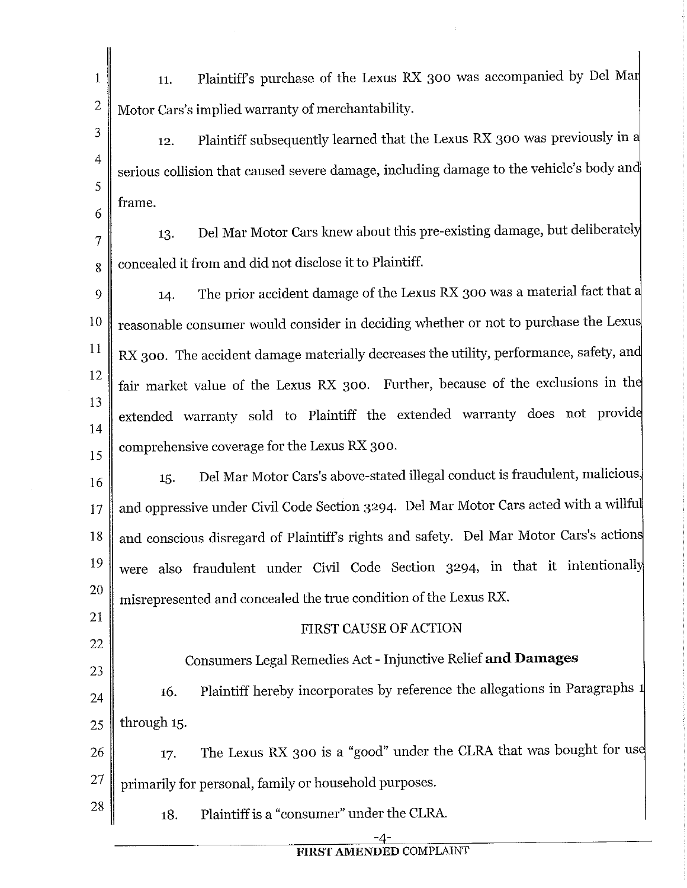- 1 2 11. Plaintiffs purchase of the Lexus RX 300 was accompanied by Del Ma Motor Cars's implied warranty of merchantability.
- 3 4 5 6 12. Plaintiff subsequently learned that the Lexus RX 300 was previously in a serious collision that caused severe damage, including damage to the vehicle's body an frame.
- 7 13. Del Mar Motor Cars knew about this pre-existing damage, but deliberately  $8 \parallel$  concealed it from and did not disclose it to Plaintiff.
- 9 10 11 12 13 14 15 14. The prior accident damage of the Lexus RX 300 was a material fact that a reasonable consumer would consider in deciding whether or not to purchase the Lexu RX 300. The accident damage materially decreases the utility, performance, safety, and fair market value of the Lexus RX 300. Further, because of the exclusions in th extended warranty sold to Plaintiff the extended warranty does not provid comprehensive coverage for the Lexus RX 300.
- 16 17 18 19 20 15. Del Mar Motor Cars's above-stated illegal conduct is fraudulent, malicious, and oppressive under Civil Code Section 3294. Del Mar Motor Cars acted with a willfu and conscious disregard of Plaintiffs rights and safety. Del Mar Motor Cars's action were also fraudulent under Civil Code Section 3294, in that it intentionall misrepresented and concealed the true condition of the Lexus RX.
- 21 22

23

28

## FIRST CAUSE OF ACTION

## Consumers Legal Remedies Act - Injunctive Relief **and Damages**

- 24 16. Plaintiff hereby incorporates by reference the allegations in Paragraphs  $25 \parallel$  through 15.
- 26 27 17. The Lexus RX 300 is a "good" under the CLRA that was bought for us primarily for personal, family or household purposes.
	- 18. Plaintiff is a "consumer" under the CLRA.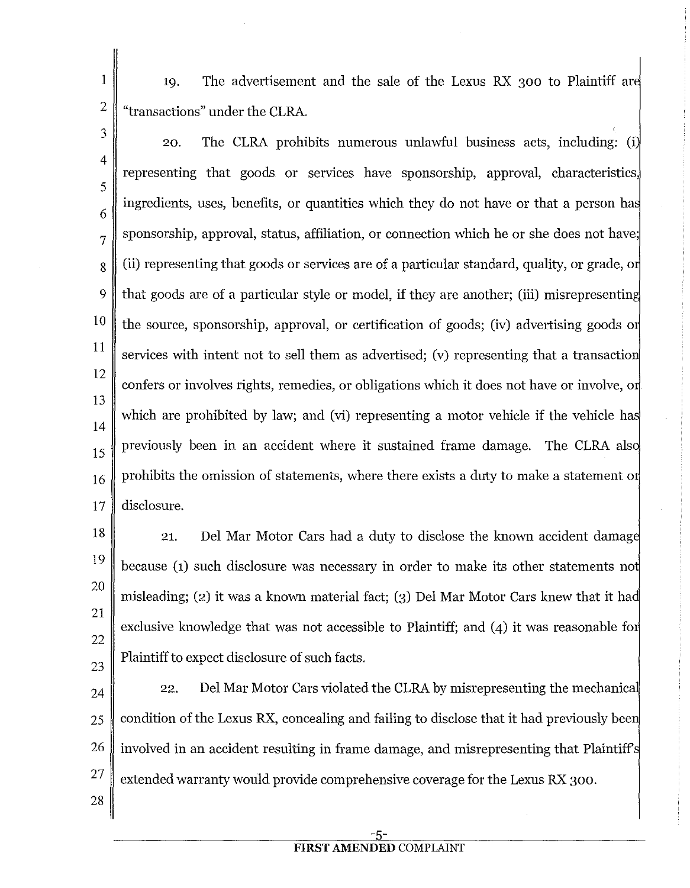1 The advertisement and the sale of the Lexus RX 300 to Plaintiff ar 19. 2 "transactions" under the CLRA.

3 4 5 6 7 8 9 10 11 12 13 14 15 16 17 20. The CLRA prohibits numerous unlawful business acts, including; (i representing that goods or services have sponsorship, approval, characteristics, ingredients, uses, benefits, or quantities which they do not have or that a person ha sponsorship, approval, status, affiliation, or connection which he or she does not have; (ii) representing that goods or services are of a particular standard, quality, or grade, o that goods are of a particular style or model, if they are another; (iii) misrepresentin the source, sponsorship, approval, or certification of goods; (iv) advertising goods o services with intent not to sell them as advertised; (v) representing that a transaction confers or involves rights, remedies, or obligations which it does not have or involve, o which are prohibited by law; and (vi) representing a motor vehicle if the vehicle has previously been in an accident where it sustained frame damage. The CLRA als prohibits the omission of statements, where there exists a duty to make a statement o disclosure.

18 19 20 21 22 23 21. Del Mar Motor Cars had a duty to disclose the known accident damag because (1) such disclosure was necessary in order to make its other statements no misleading; (2) it was a known material fact; (3) Del Mar Motor Cars knew that it ha exclusive knowledge that was not accessible to Plaintiff; and (4) it was reasonable for Plaintiff to expect disclosure of such facts.

24 25 26 27 22. Del Mar Motor Cars violated the CLRA by misrepresenting the mechanical condition of the Lexus RX, concealing and failing to disclose that it had previously bee involved in an accident resulting in frame damage, and misrepresenting that Plaintiff extended warranty would provide comprehensive coverage for the Lexus RX 300.

28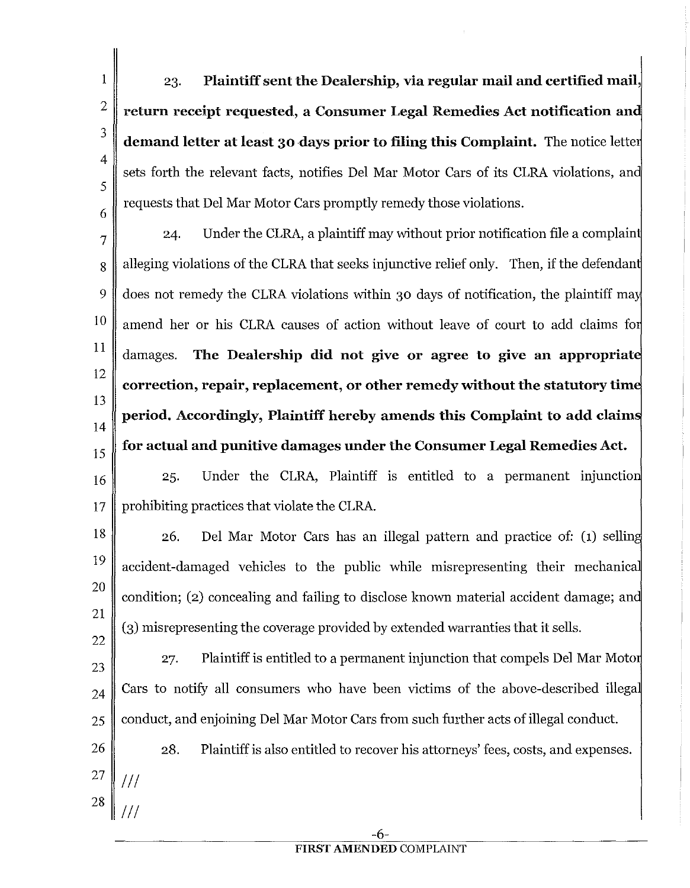23. **Plaintiff sent the Dealership, via regular mail and certified mail,**  return receipt requested, a Consumer Legal Remedies Act notification and **demand letter at least 30 days prior to filing this Complaint.** The notice lette sets forth the relevant facts, notifies Del Mar Motor Cars of its CLRA violations, an requests that Del Mar Motor Cars promptly remedy those violations.

1

2

3

4

5

6

7 24. Under the CLRA, a plaintiff may without prior notification file a complain 8 alleging violations of the CLRA that seeks injunctive relief only. Then, if the defendant 9 does not remedy the CLRA violations within 30 days of notification, the plaintiff may  $10 \parallel$  amend her or his CLRA causes of action without leave of court to add claims for 11 12 13 14 15 damages. **The Dealership did not give or agree to give an appropriate correction, repair, replacement, or other remedy without the statutory time period. Accordingly, Plaintiff hereby amends this Complaint to add claims for actual and punitive damages under the Consumer Legal Remedies Act.** 

16 25. Under the CLRA, Plaintiff is entitled to a permanent injunctio  $17 \parallel$  prohibiting practices that violate the CLRA.

18 19 20 21 22 26. Del Mar Motor Cars has an illegal pattern and practice of: (1) sellin accident-damaged vehicles to the public while misrepresenting their mechanica condition; (2) concealing and failing to disclose known material accident damage; an (3) misrepresenting the coverage provided by extended warranties that it sells.

23 24 25 27. Plaintiff is entitled to a permanent injunction that compels Del Mar Motor Cars to notify all consumers who have been victims of the above-described illega conduct, and enjoining Del Mar Motor Cars from such further acts of illegal conduct.

26 27 28 Ill  $\mathcal{U} \setminus$ 28. Plaintiff is also entitled to recover his attorneys' fees, costs, and expenses.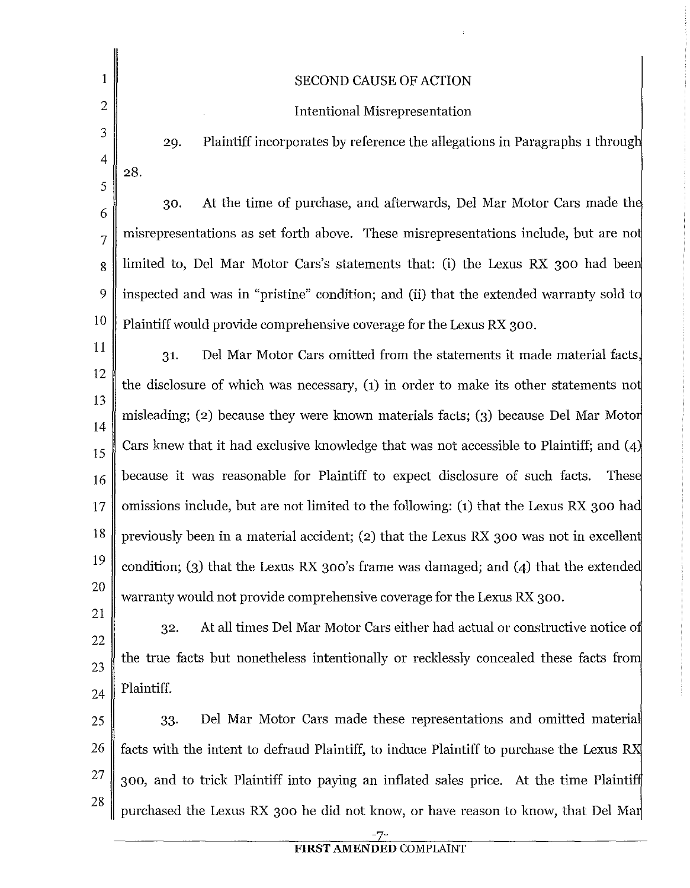| 1                   | <b>SECOND CAUSE OF ACTION</b>                                                             |  |
|---------------------|-------------------------------------------------------------------------------------------|--|
| $\overline{2}$      | <b>Intentional Misrepresentation</b>                                                      |  |
| 3                   | Plaintiff incorporates by reference the allegations in Paragraphs 1 through<br>29.        |  |
| $\overline{4}$      | 28.                                                                                       |  |
| 5                   | At the time of purchase, and afterwards, Del Mar Motor Cars made the<br>30.               |  |
| 6<br>$\overline{7}$ | misrepresentations as set forth above. These misrepresentations include, but are not      |  |
| 8                   | limited to, Del Mar Motor Cars's statements that: (i) the Lexus RX 300 had been           |  |
| 9                   | inspected and was in "pristine" condition; and (ii) that the extended warranty sold to    |  |
| 10                  | Plaintiff would provide comprehensive coverage for the Lexus RX 300.                      |  |
| 11                  | Del Mar Motor Cars omitted from the statements it made material facts,<br>31.             |  |
| 12                  | the disclosure of which was necessary, (1) in order to make its other statements not      |  |
| 13                  | misleading; (2) because they were known materials facts; (3) because Del Mar Motor        |  |
| 14<br>15            | Cars knew that it had exclusive knowledge that was not accessible to Plaintiff; and $(4)$ |  |
| 16                  | because it was reasonable for Plaintiff to expect disclosure of such facts.<br>These      |  |
| $\overline{17}$     | omissions include, but are not limited to the following: (1) that the Lexus RX 300 had    |  |
| 18                  | previously been in a material accident; (2) that the Lexus RX 300 was not in excellent    |  |
| 19                  | condition; (3) that the Lexus RX 300's frame was damaged; and (4) that the extended       |  |
| $20 \,$             | warranty would not provide comprehensive coverage for the Lexus RX 300.                   |  |
| 21                  | At all times Del Mar Motor Cars either had actual or constructive notice of<br>32.        |  |
| $^{22}$             | the true facts but nonetheless intentionally or recklessly concealed these facts from     |  |
| $\overline{23}$     | Plaintiff.                                                                                |  |
| 24<br>$^{25}$       | Del Mar Motor Cars made these representations and omitted material<br>33.                 |  |
| $26 \,$             | facts with the intent to defraud Plaintiff, to induce Plaintiff to purchase the Lexus RX  |  |
|                     |                                                                                           |  |

10

11

12

13

14

15

17

18

19

20

21

22

23

24

25

26

27 28 300, and to trick Plaintiff into paying an inflated sales price. At the time Plainti purchased the Lexus RX 300 he did not know, or have reason to know, that Del Ma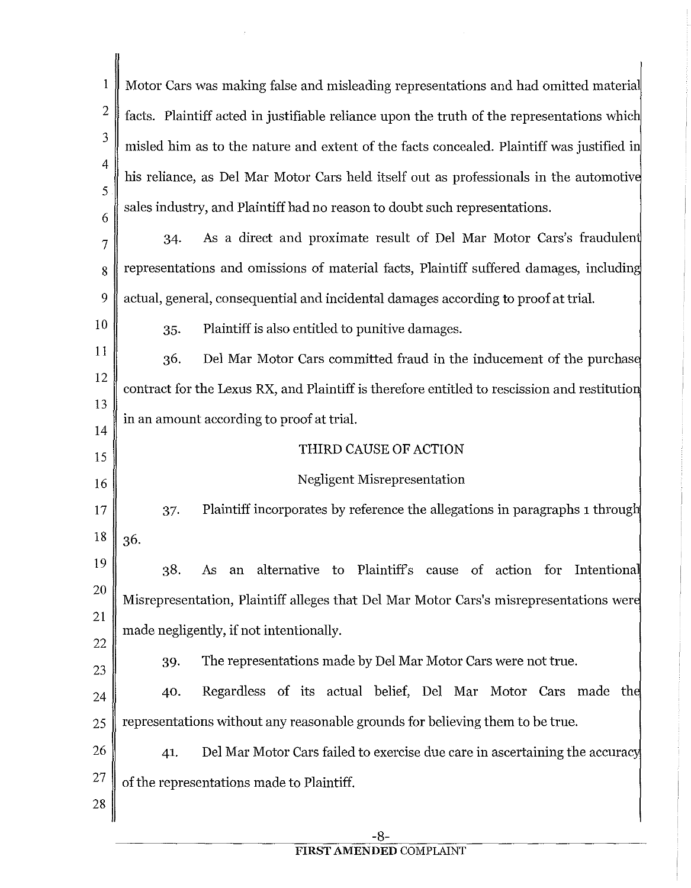1 Motor Cars was making false and misleading representations and had omitted materia 2 facts. Plaintiff acted in justifiable reliance upon the truth of the representations whic 3 misled him as to the nature and extent of the facts concealed. Plaintiff was justified i 4 his reliance, as Del Mar Motor Cars held itself out as professionals in the automotiv 5 sales industry, and Plaintiff had no reason to doubt such representations. 6 34. As a direct and proximate result of Del Mar Motor Cars's fraudulen 7 8 Tepresentations and omissions of material facts, Plaintiff suffered damages, including 9 actual, general, consequential and incidental damages according to proof at trial. 10 35. Plaintiff is also entitled to punitive damages. 11 Del Mar Motor Cars committed fraud in the inducement of the purchas 36. 12 contract for the Lexus RX, and Plaintiff is therefore entitled to rescission and restitutio 13 in an amount according to proof at trial. 14 THIRD CAUSE OF ACTION 15 Negligent Misrepresentation 16 37. Plaintiff incorporates by reference the allegations in paragraphs 1 throug 17  $18 \parallel 36.$ 19 38. As an alternative to Plaintiffs cause of action for Intentiona 20 Misrepresentation, Plaintiff alleges that Del Mar Motor Cars's misrepresentations wer 21 made negligently, if not intentionally. 22 39. The representations made by Del Mar Motor Cars were not true. 23 40. Regardless of its actual belief, Del Mar Motor Cars made th 24  $25 \parallel$  representations without any reasonable grounds for believing them to be true. 26 41. Del Mar Motor Cars failed to exercise due care in ascertaining the accurac 27 of the representations made to Plaintiff. 28

## **FIRST AMENDED** COMPLAINT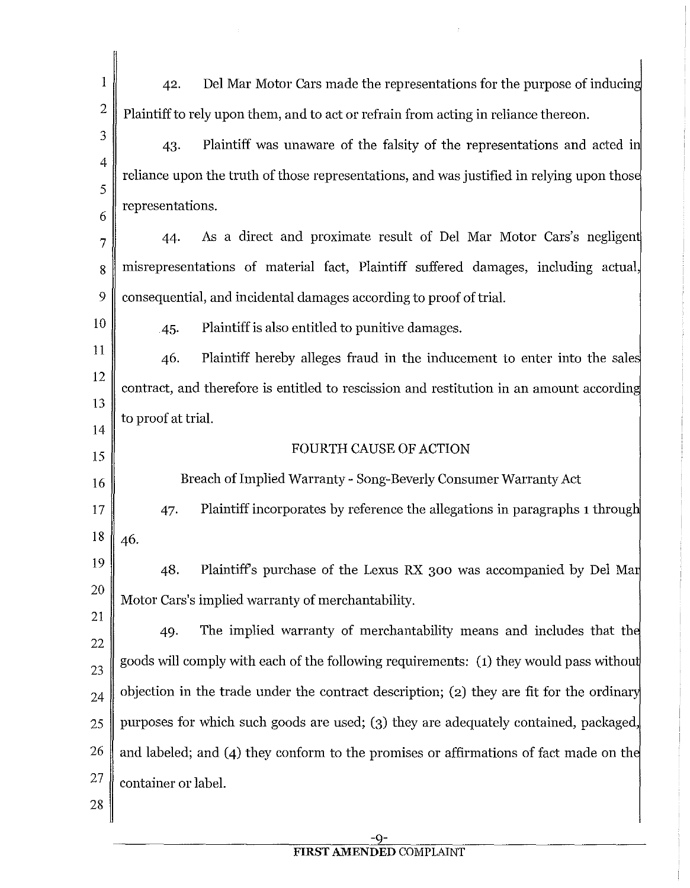| 1              | 42.                 | Del Mar Motor Cars made the representations for the purpose of inducing                   |
|----------------|---------------------|-------------------------------------------------------------------------------------------|
| $\overline{2}$ |                     | Plaintiff to rely upon them, and to act or refrain from acting in reliance thereon.       |
| 3              | 43.                 | Plaintiff was unaware of the falsity of the representations and acted in                  |
| 4              |                     | reliance upon the truth of those representations, and was justified in relying upon those |
| 5              | representations.    |                                                                                           |
| 6<br>7         | 44.                 | As a direct and proximate result of Del Mar Motor Cars's negligent                        |
| 8              |                     | misrepresentations of material fact, Plaintiff suffered damages, including actual,        |
| 9              |                     | consequential, and incidental damages according to proof of trial.                        |
| 10             | 45.                 | Plaintiff is also entitled to punitive damages.                                           |
| 11             | 46.                 | Plaintiff hereby alleges fraud in the inducement to enter into the sales                  |
| 12             |                     | contract, and therefore is entitled to rescission and restitution in an amount according  |
| 13             | to proof at trial.  |                                                                                           |
| 14             |                     | FOURTH CAUSE OF ACTION                                                                    |
| 15             |                     |                                                                                           |
| 16             |                     | Breach of Implied Warranty - Song-Beverly Consumer Warranty Act                           |
| 17             | 47.                 | Plaintiff incorporates by reference the allegations in paragraphs 1 through               |
| 18             | 46.                 |                                                                                           |
| 19             | 48.                 | Plaintiff's purchase of the Lexus RX 300 was accompanied by Del Mar                       |
| 20             |                     | Motor Cars's implied warranty of merchantability.                                         |
| 21             | 49.                 | The implied warranty of merchantability means and includes that the                       |
| 22<br>23       |                     | goods will comply with each of the following requirements: (1) they would pass without    |
| 24             |                     | objection in the trade under the contract description; (2) they are fit for the ordinary  |
| 25             |                     | purposes for which such goods are used; (3) they are adequately contained, packaged,      |
| 26             |                     | and labeled; and (4) they conform to the promises or affirmations of fact made on the     |
| 27             | container or label. |                                                                                           |
| 28             |                     |                                                                                           |
|                |                     |                                                                                           |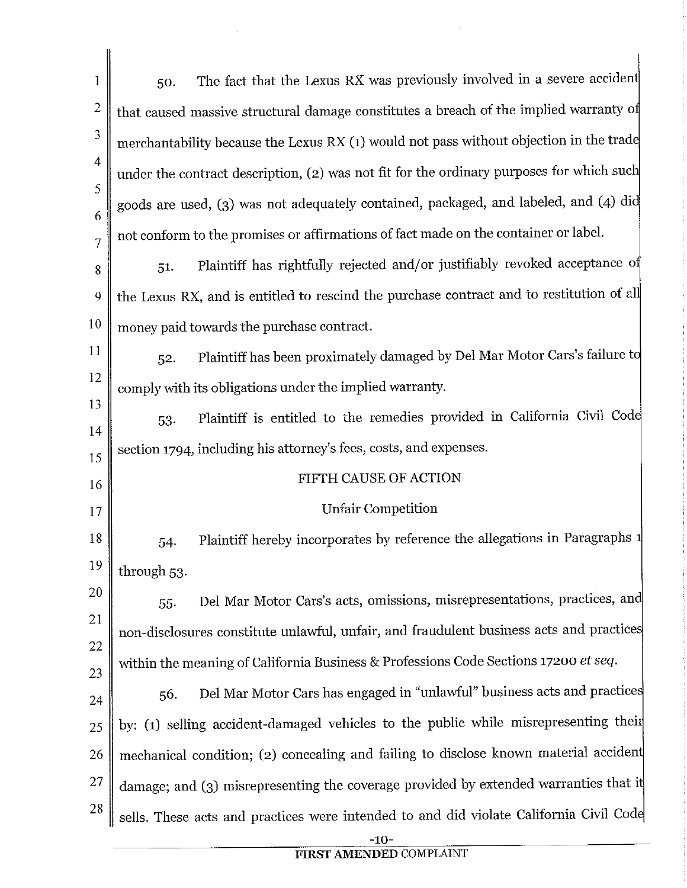| 1              | The fact that the Lexus RX was previously involved in a severe accident<br>50.           |
|----------------|------------------------------------------------------------------------------------------|
| 2              | that caused massive structural damage constitutes a breach of the implied warranty of    |
| 3              | merchantability because the Lexus RX (1) would not pass without objection in the trade   |
| $\overline{4}$ | under the contract description, (2) was not fit for the ordinary purposes for which such |
| 5              | goods are used, (3) was not adequately contained, packaged, and labeled, and (4) did     |
| 6<br>7         | not conform to the promises or affirmations of fact made on the container or label.      |
| 8              | Plaintiff has rightfully rejected and/or justifiably revoked acceptance of<br>51.        |
| 9              | the Lexus RX, and is entitled to rescind the purchase contract and to restitution of all |
| 10             | money paid towards the purchase contract.                                                |
| 11             | Plaintiff has been proximately damaged by Del Mar Motor Cars's failure to<br>52.         |
| 12             | comply with its obligations under the implied warranty.                                  |
| 13             | Plaintiff is entitled to the remedies provided in California Civil Code<br>53.           |
| 14             | section 1794, including his attorney's fees, costs, and expenses.                        |
| 15<br>16       | FIFTH CAUSE OF ACTION                                                                    |
| 17             | <b>Unfair Competition</b>                                                                |
| 18             | Plaintiff hereby incorporates by reference the allegations in Paragraphs 1<br>54.        |
| 19             | through 53.                                                                              |
| 20             | Del Mar Motor Cars's acts, omissions, misrepresentations, practices, and<br>55.          |
| 21             | non-disclosures constitute unlawful, unfair, and fraudulent business acts and practices  |
| 22             | within the meaning of California Business & Professions Code Sections 17200 et seq.      |
| 23             | Del Mar Motor Cars has engaged in "unlawful" business acts and practices<br>56.          |
| 24<br>25       | by: (1) selling accident-damaged vehicles to the public while misrepresenting their      |
| 26             | mechanical condition; (2) concealing and failing to disclose known material accident     |
| 27             | damage; and (3) misrepresenting the coverage provided by extended warranties that it     |
| 28             | sells. These acts and practices were intended to and did violate California Civil Code   |
|                |                                                                                          |

 $\mathcal{A}^{\mathcal{A}}$ 

 $\frac{1}{2}$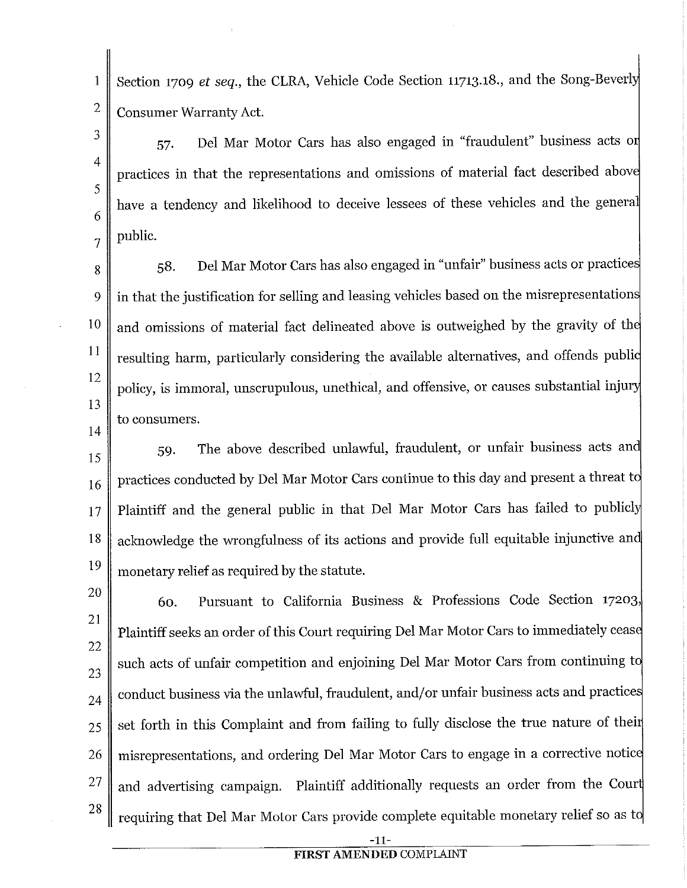Section 1709 *et seq.*, the CLRA, Vehicle Code Section 11713.18., and the Song-Beverly Consumer Warranty Act.

57. Del Mar Motor Cars has also engaged in "fraudulent" business acts o practices in that the representations and omissions of material fact described abov have a tendency and likelihood to deceive lessees of these vehicles and the general public.

58. Del Mar Motor Cars has also engaged in "unfair" business acts or practice in that the justification for selling and leasing vehicles based on the misrepresentation and omissions of material fact delineated above is outweighed by the gravity of th resulting harm, particularly considering the available alternatives, and offends publi policy, is immoral, unscrupulous, unethical, and offensive, or causes substantial inju to consumers.

14

1

2

3

4

5

6

7

8

9

10

11

12

13

15 16 17 18 19 59. The above described unlawful, fraudulent, or unfair business acts an practices conducted by Del Mar Motor Cars continue to this day and present a threat t Plaintiff and the general public in that Del Mar Motor Cars has failed to publicly acknowledge the wrongfulness of its actions and provide full equitable injunctive an monetary relief as required by the statute.

20 21 22 23 24 25 26 27 28 60. Pursuant to California Business & Professions Code Section 17203, Plaintiff seeks an order of this Court requiring Del Mar Motor Cars to immediately ceas such acts of unfair competition and enjoining Del Mar Motor Cars from continuing to conduct business via the unlawful, fraudulent, and/or unfair business acts and practice set forth in this Complaint and from failing to fully disclose the true nature of thei misrepresentations, and ordering Del Mar Motor Cars to engage in a corrective notic and advertising campaign. Plaintiff additionally requests an order from the Cou requiring that Del Mar Motor Cars provide complete equitable monetary relief so as t

-11-